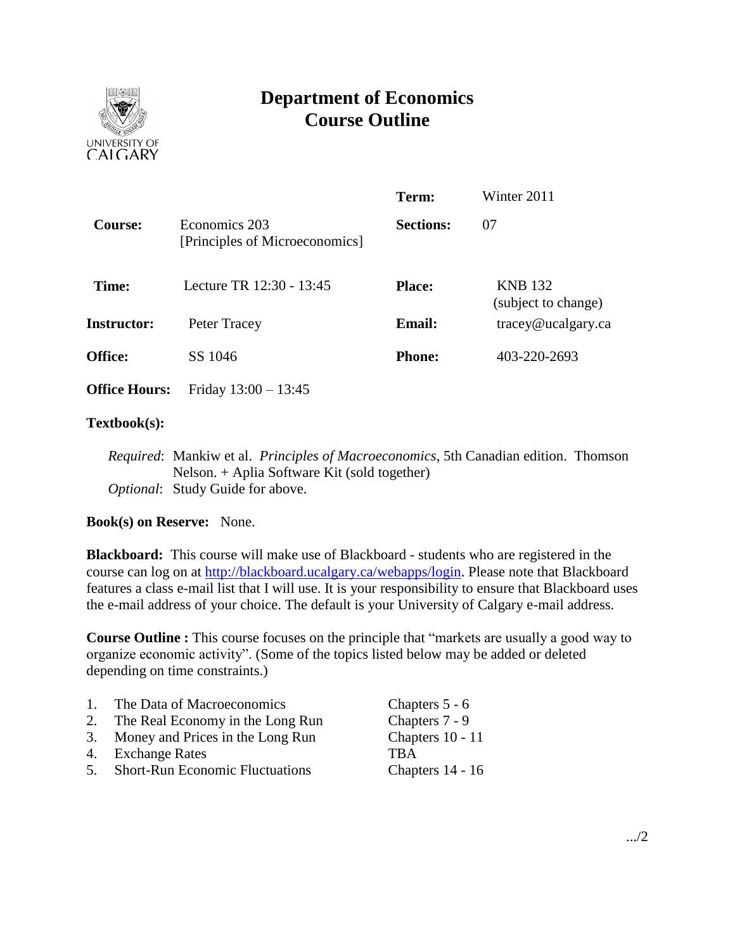

# **Department of Economics Course Outline**

|                                                 | Term:                                                                         | Winter 2011                           |  |
|-------------------------------------------------|-------------------------------------------------------------------------------|---------------------------------------|--|
| Economics 203<br>[Principles of Microeconomics] |                                                                               | 07                                    |  |
|                                                 | <b>Place:</b>                                                                 | <b>KNB</b> 132<br>(subject to change) |  |
|                                                 | <b>Email:</b>                                                                 | tracey@ucalgary.ca                    |  |
|                                                 | <b>Phone:</b>                                                                 | 403-220-2693                          |  |
|                                                 |                                                                               |                                       |  |
|                                                 | Lecture TR 12:30 - 13:45<br>Peter Tracey<br>SS 1046<br>Friday $13:00 - 13:45$ | <b>Sections:</b>                      |  |

### **Textbook(s):**

*Required*: Mankiw et al. *Principles of Macroeconomics*, 5th Canadian edition. Thomson Nelson. + Aplia Software Kit (sold together) *Optional*: Study Guide for above.

## **Book(s) on Reserve:** None.

**Blackboard:** This course will make use of Blackboard - students who are registered in the course can log on at [http://blackboard.ucalgary.ca/webapps/login.](http://blackboard.ucalgary.ca/webapps/login) Please note that Blackboard features a class e-mail list that I will use. It is your responsibility to ensure that Blackboard uses the e-mail address of your choice. The default is your University of Calgary e-mail address.

**Course Outline :** This course focuses on the principle that "markets are usually a good way to organize economic activity". (Some of the topics listed below may be added or deleted depending on time constraints.)

| 1. | The Data of Macroeconomics             | Chapters 5 - 6   |
|----|----------------------------------------|------------------|
| 2. | The Real Economy in the Long Run       | Chapters 7 - 9   |
|    | 3. Money and Prices in the Long Run    | Chapters 10 - 11 |
|    | 4. Exchange Rates                      | <b>TRA</b>       |
| 5. | <b>Short-Run Economic Fluctuations</b> | Chapters 14 - 16 |
|    |                                        |                  |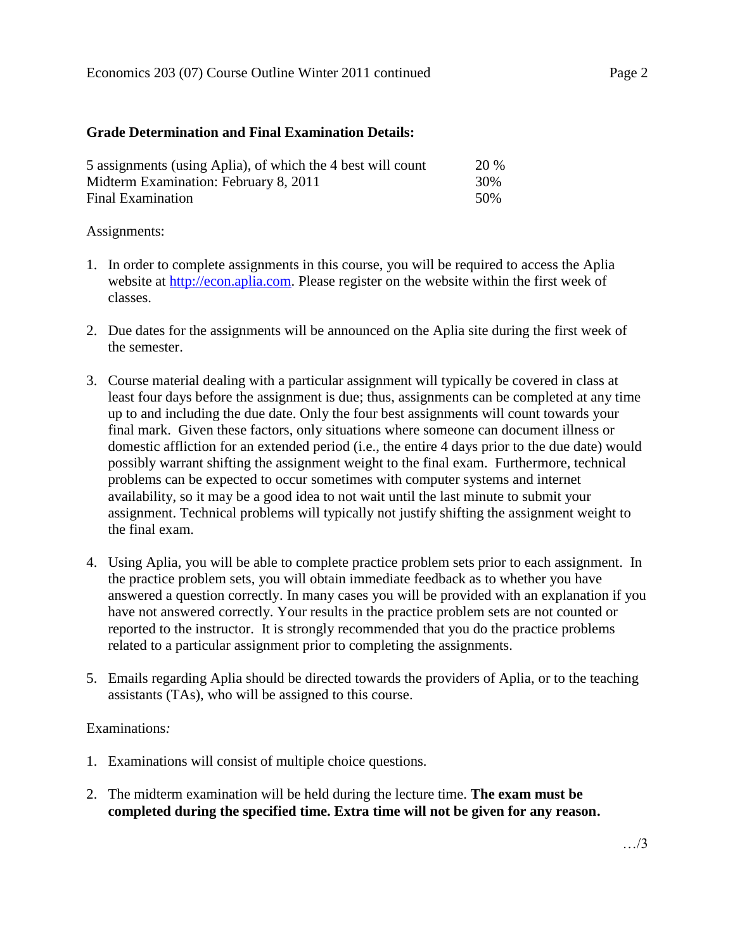### **Grade Determination and Final Examination Details:**

| 5 assignments (using Aplia), of which the 4 best will count | <b>20 %</b> |
|-------------------------------------------------------------|-------------|
| Midterm Examination: February 8, 2011                       | 30%         |
| Final Examination                                           | .50%        |

### Assignments:

- 1. In order to complete assignments in this course, you will be required to access the Aplia website at [http://econ.aplia.com.](http://econ.aplia.com/) Please register on the website within the first week of classes.
- 2. Due dates for the assignments will be announced on the Aplia site during the first week of the semester.
- 3. Course material dealing with a particular assignment will typically be covered in class at least four days before the assignment is due; thus, assignments can be completed at any time up to and including the due date. Only the four best assignments will count towards your final mark. Given these factors, only situations where someone can document illness or domestic affliction for an extended period (i.e., the entire 4 days prior to the due date) would possibly warrant shifting the assignment weight to the final exam. Furthermore, technical problems can be expected to occur sometimes with computer systems and internet availability, so it may be a good idea to not wait until the last minute to submit your assignment. Technical problems will typically not justify shifting the assignment weight to the final exam.
- 4. Using Aplia, you will be able to complete practice problem sets prior to each assignment. In the practice problem sets, you will obtain immediate feedback as to whether you have answered a question correctly. In many cases you will be provided with an explanation if you have not answered correctly. Your results in the practice problem sets are not counted or reported to the instructor. It is strongly recommended that you do the practice problems related to a particular assignment prior to completing the assignments.
- 5. Emails regarding Aplia should be directed towards the providers of Aplia, or to the teaching assistants (TAs), who will be assigned to this course.

## Examinations*:*

- 1. Examinations will consist of multiple choice questions.
- 2. The midterm examination will be held during the lecture time. **The exam must be completed during the specified time. Extra time will not be given for any reason.**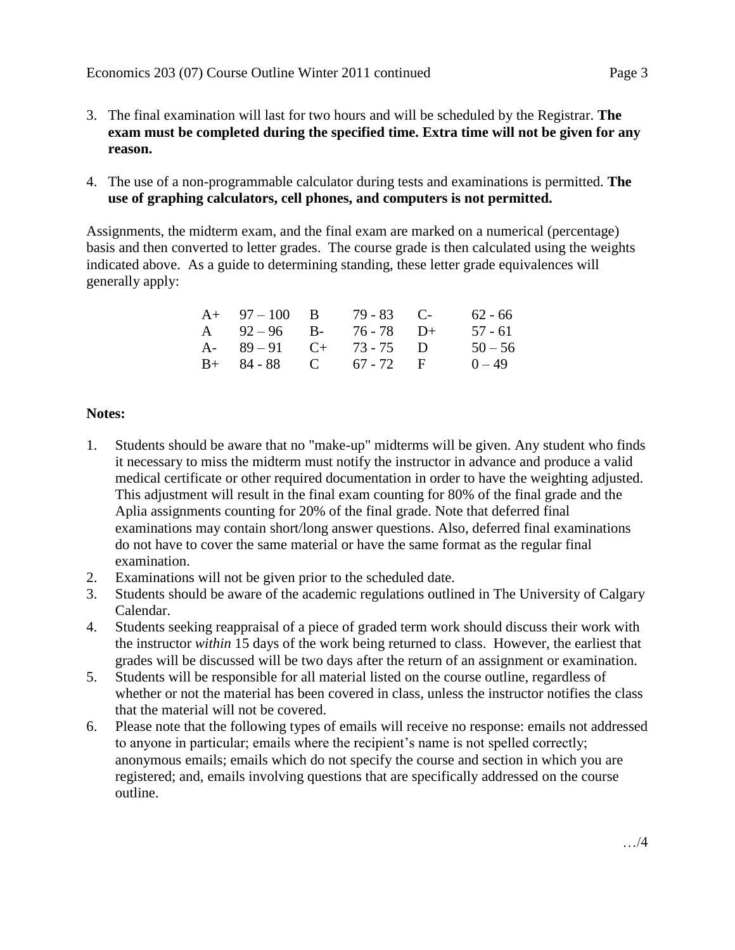- 3. The final examination will last for two hours and will be scheduled by the Registrar. **The exam must be completed during the specified time. Extra time will not be given for any reason.**
- 4. The use of a non-programmable calculator during tests and examinations is permitted. **The use of graphing calculators, cell phones, and computers is not permitted.**

Assignments, the midterm exam, and the final exam are marked on a numerical (percentage) basis and then converted to letter grades. The course grade is then calculated using the weights indicated above. As a guide to determining standing, these letter grade equivalences will generally apply:

| $A+ 97-100 B$          | $79 - 83$ C- | 62 - 66   |
|------------------------|--------------|-----------|
| A $92-96$ B-           | 76 - 78 D+   | 57 - 61   |
| A- $89-91$ C+ 73-75 D  |              | $50 - 56$ |
| $B+ 84-88$ C 67 - 72 F |              | $0 - 49$  |

## **Notes:**

- 1. Students should be aware that no "make-up" midterms will be given. Any student who finds it necessary to miss the midterm must notify the instructor in advance and produce a valid medical certificate or other required documentation in order to have the weighting adjusted. This adjustment will result in the final exam counting for 80% of the final grade and the Aplia assignments counting for 20% of the final grade. Note that deferred final examinations may contain short/long answer questions. Also, deferred final examinations do not have to cover the same material or have the same format as the regular final examination.
- 2. Examinations will not be given prior to the scheduled date.
- 3. Students should be aware of the academic regulations outlined in The University of Calgary Calendar.
- 4. Students seeking reappraisal of a piece of graded term work should discuss their work with the instructor *within* 15 days of the work being returned to class. However, the earliest that grades will be discussed will be two days after the return of an assignment or examination.
- 5. Students will be responsible for all material listed on the course outline, regardless of whether or not the material has been covered in class, unless the instructor notifies the class that the material will not be covered.
- 6. Please note that the following types of emails will receive no response: emails not addressed to anyone in particular; emails where the recipient's name is not spelled correctly; anonymous emails; emails which do not specify the course and section in which you are registered; and, emails involving questions that are specifically addressed on the course outline.